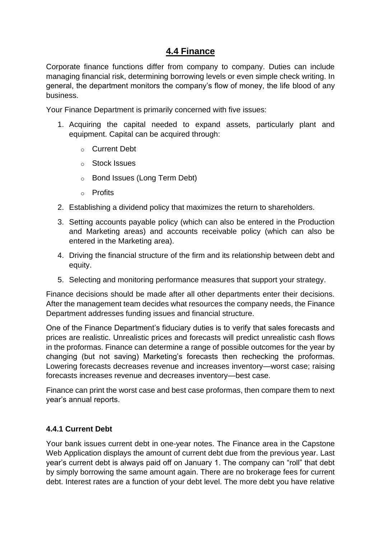# **4.4 Finance**

Corporate finance functions differ from company to company. Duties can include managing financial risk, determining borrowing levels or even simple check writing. In general, the department monitors the company's flow of money, the life blood of any business.

Your Finance Department is primarily concerned with five issues:

- 1. Acquiring the capital needed to expand assets, particularly plant and equipment. Capital can be acquired through:
	- o Current Debt
	- o Stock Issues
	- o Bond Issues (Long Term Debt)
	- o Profits
- 2. Establishing a dividend policy that maximizes the return to shareholders.
- 3. Setting accounts payable policy (which can also be entered in the Production and Marketing areas) and accounts receivable policy (which can also be entered in the Marketing area).
- 4. Driving the financial structure of the firm and its relationship between debt and equity.
- 5. Selecting and monitoring performance measures that support your strategy.

Finance decisions should be made after all other departments enter their decisions. After the management team decides what resources the company needs, the Finance Department addresses funding issues and financial structure.

One of the Finance Department's fiduciary duties is to verify that sales forecasts and prices are realistic. Unrealistic prices and forecasts will predict unrealistic cash flows in the proformas. Finance can determine a range of possible outcomes for the year by changing (but not saving) Marketing's forecasts then rechecking the proformas. Lowering forecasts decreases revenue and increases inventory—worst case; raising forecasts increases revenue and decreases inventory—best case.

Finance can print the worst case and best case proformas, then compare them to next year's annual reports.

#### **4.4.1 Current Debt**

Your bank issues current debt in one-year notes. The Finance area in the Capstone Web Application displays the amount of current debt due from the previous year. Last year's current debt is always paid off on January 1. The company can "roll" that debt by simply borrowing the same amount again. There are no brokerage fees for current debt. Interest rates are a function of your debt level. The more debt you have relative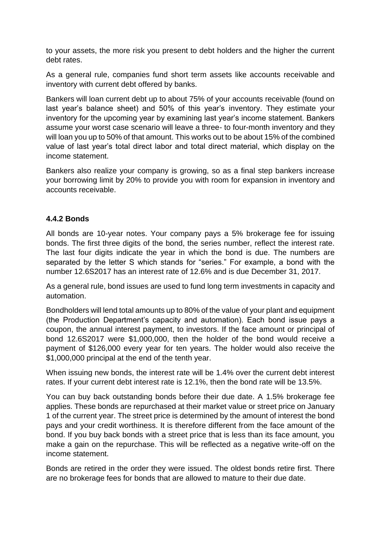to your assets, the more risk you present to debt holders and the higher the current debt rates.

As a general rule, companies fund short term assets like accounts receivable and inventory with current debt offered by banks.

Bankers will loan current debt up to about 75% of your accounts receivable (found on last year's balance sheet) and 50% of this year's inventory. They estimate your inventory for the upcoming year by examining last year's income statement. Bankers assume your worst case scenario will leave a three- to four-month inventory and they will loan you up to 50% of that amount. This works out to be about 15% of the combined value of last year's total direct labor and total direct material, which display on the income statement.

Bankers also realize your company is growing, so as a final step bankers increase your borrowing limit by 20% to provide you with room for expansion in inventory and accounts receivable.

#### **4.4.2 Bonds**

All bonds are 10-year notes. Your company pays a 5% brokerage fee for issuing bonds. The first three digits of the bond, the series number, reflect the interest rate. The last four digits indicate the year in which the bond is due. The numbers are separated by the letter S which stands for "series." For example, a bond with the number 12.6S2017 has an interest rate of 12.6% and is due December 31, 2017.

As a general rule, bond issues are used to fund long term investments in capacity and automation.

Bondholders will lend total amounts up to 80% of the value of your plant and equipment (the Production Department's capacity and automation). Each bond issue pays a coupon, the annual interest payment, to investors. If the face amount or principal of bond 12.6S2017 were \$1,000,000, then the holder of the bond would receive a payment of \$126,000 every year for ten years. The holder would also receive the \$1,000,000 principal at the end of the tenth year.

When issuing new bonds, the interest rate will be 1.4% over the current debt interest rates. If your current debt interest rate is 12.1%, then the bond rate will be 13.5%.

You can buy back outstanding bonds before their due date. A 1.5% brokerage fee applies. These bonds are repurchased at their market value or street price on January 1 of the current year. The street price is determined by the amount of interest the bond pays and your credit worthiness. It is therefore different from the face amount of the bond. If you buy back bonds with a street price that is less than its face amount, you make a gain on the repurchase. This will be reflected as a negative write-off on the income statement.

Bonds are retired in the order they were issued. The oldest bonds retire first. There are no brokerage fees for bonds that are allowed to mature to their due date.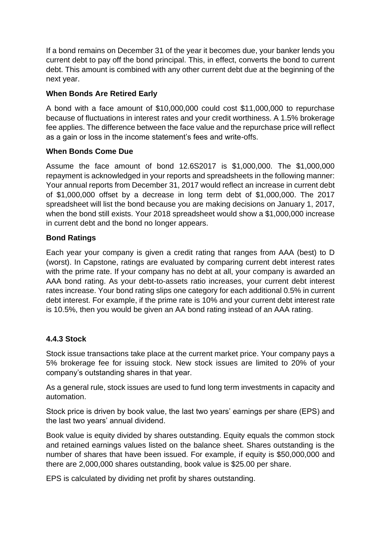If a bond remains on December 31 of the year it becomes due, your banker lends you current debt to pay off the bond principal. This, in effect, converts the bond to current debt. This amount is combined with any other current debt due at the beginning of the next year.

### **When Bonds Are Retired Early**

A bond with a face amount of \$10,000,000 could cost \$11,000,000 to repurchase because of fluctuations in interest rates and your credit worthiness. A 1.5% brokerage fee applies. The difference between the face value and the repurchase price will reflect as a gain or loss in the income statement's fees and write-offs.

### **When Bonds Come Due**

Assume the face amount of bond 12.6S2017 is \$1,000,000. The \$1,000,000 repayment is acknowledged in your reports and spreadsheets in the following manner: Your annual reports from December 31, 2017 would reflect an increase in current debt of \$1,000,000 offset by a decrease in long term debt of \$1,000,000. The 2017 spreadsheet will list the bond because you are making decisions on January 1, 2017, when the bond still exists. Your 2018 spreadsheet would show a \$1,000,000 increase in current debt and the bond no longer appears.

### **Bond Ratings**

Each year your company is given a credit rating that ranges from AAA (best) to D (worst). In Capstone, ratings are evaluated by comparing current debt interest rates with the prime rate. If your company has no debt at all, your company is awarded an AAA bond rating. As your debt-to-assets ratio increases, your current debt interest rates increase. Your bond rating slips one category for each additional 0.5% in current debt interest. For example, if the prime rate is 10% and your current debt interest rate is 10.5%, then you would be given an AA bond rating instead of an AAA rating.

## **4.4.3 Stock**

Stock issue transactions take place at the current market price. Your company pays a 5% brokerage fee for issuing stock. New stock issues are limited to 20% of your company's outstanding shares in that year.

As a general rule, stock issues are used to fund long term investments in capacity and automation.

Stock price is driven by book value, the last two years' earnings per share (EPS) and the last two years' annual dividend.

Book value is equity divided by shares outstanding. Equity equals the common stock and retained earnings values listed on the balance sheet. Shares outstanding is the number of shares that have been issued. For example, if equity is \$50,000,000 and there are 2,000,000 shares outstanding, book value is \$25.00 per share.

EPS is calculated by dividing net profit by shares outstanding.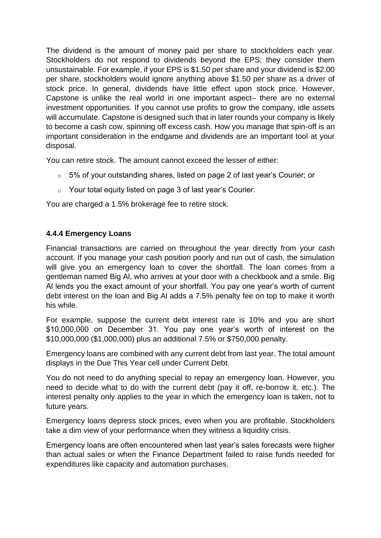The dividend is the amount of money paid per share to stockholders each year. Stockholders do not respond to dividends beyond the EPS; they consider them unsustainable. For example, if your EPS is \$1.50 per share and your dividend is \$2.00 per share, stockholders would ignore anything above \$1.50 per share as a driver of stock price. In general, dividends have little effect upon stock price. However, Capstone is unlike the real world in one important aspect– there are no external investment opportunities. If you cannot use profits to grow the company, idle assets will accumulate. Capstone is designed such that in later rounds your company is likely to become a cash cow, spinning off excess cash. How you manage that spin-off is an important consideration in the endgame and dividends are an important tool at your disposal.

You can retire stock. The amount cannot exceed the lesser of either:

- o 5% of your outstanding shares, listed on page 2 of last year's Courier; or
- o Your total equity listed on page 3 of last year's Courier.

You are charged a 1.5% brokerage fee to retire stock.

#### **4.4.4 Emergency Loans**

Financial transactions are carried on throughout the year directly from your cash account. If you manage your cash position poorly and run out of cash, the simulation will give you an emergency loan to cover the shortfall. The loan comes from a gentleman named Big Al, who arrives at your door with a checkbook and a smile. Big Al lends you the exact amount of your shortfall. You pay one year's worth of current debt interest on the loan and Big Al adds a 7.5% penalty fee on top to make it worth his while.

For example, suppose the current debt interest rate is 10% and you are short \$10,000,000 on December 31. You pay one year's worth of interest on the \$10,000,000 (\$1,000,000) plus an additional 7.5% or \$750,000 penalty.

Emergency loans are combined with any current debt from last year. The total amount displays in the Due This Year cell under Current Debt.

You do not need to do anything special to repay an emergency loan. However, you need to decide what to do with the current debt (pay it off, re-borrow it, etc.). The interest penalty only applies to the year in which the emergency loan is taken, not to future years.

Emergency loans depress stock prices, even when you are profitable. Stockholders take a dim view of your performance when they witness a liquidity crisis.

Emergency loans are often encountered when last year's sales forecasts were higher than actual sales or when the Finance Department failed to raise funds needed for expenditures like capacity and automation purchases.